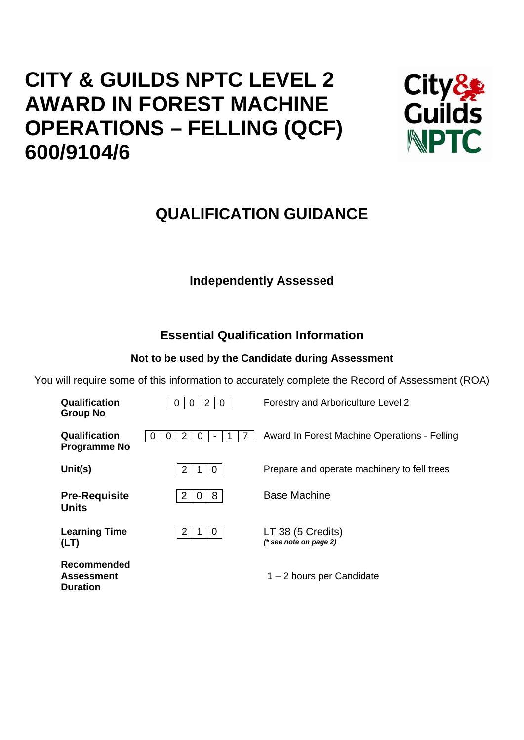# **CITY & GUILDS NPTC LEVEL 2 AWARD IN FOREST MACHINE OPERATIONS – FELLING (QCF) 600/9104/6**



## **QUALIFICATION GUIDANCE**

## **Independently Assessed**

## **Essential Qualification Information**

## **Not to be used by the Candidate during Assessment**

You will require some of this information to accurately complete the Record of Assessment (ROA)

| Qualification<br><b>Group No</b>                           | 2<br>0<br>U             | Forestry and Arboriculture Level 2            |
|------------------------------------------------------------|-------------------------|-----------------------------------------------|
| Qualification<br><b>Programme No</b>                       | 2<br>0<br>0<br>$\left($ | Award In Forest Machine Operations - Felling  |
| Unit(s)                                                    | 2<br>0                  | Prepare and operate machinery to fell trees   |
| <b>Pre-Requisite</b><br><b>Units</b>                       | 8<br>2<br>0             | <b>Base Machine</b>                           |
| <b>Learning Time</b><br>(LT)                               | 2<br>0                  | LT 38 (5 Credits)<br>$(*$ see note on page 2) |
| <b>Recommended</b><br><b>Assessment</b><br><b>Duration</b> |                         | 1 – 2 hours per Candidate                     |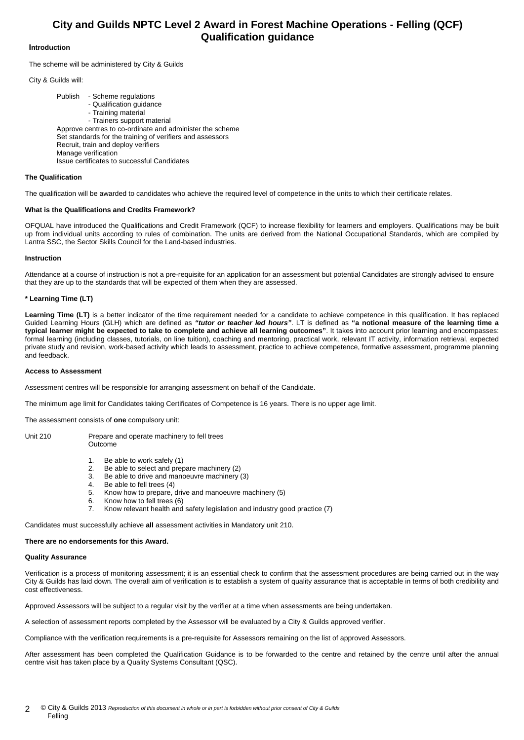### **City and Guilds NPTC Level 2 Award in Forest Machine Operations - Felling (QCF) Qualification guidance**

#### **Introduction**

The scheme will be administered by City & Guilds

City & Guilds will:

 Publish - Scheme regulations - Qualification guidance - Training material - Trainers support material Approve centres to co-ordinate and administer the scheme Set standards for the training of verifiers and assessors Recruit, train and deploy verifiers Manage verification Issue certificates to successful Candidates

#### **The Qualification**

The qualification will be awarded to candidates who achieve the required level of competence in the units to which their certificate relates.

#### **What is the Qualifications and Credits Framework?**

OFQUAL have introduced the Qualifications and Credit Framework (QCF) to increase flexibility for learners and employers. Qualifications may be built up from individual units according to rules of combination. The units are derived from the National Occupational Standards, which are compiled by Lantra SSC, the Sector Skills Council for the Land-based industries.

#### **Instruction**

Attendance at a course of instruction is not a pre-requisite for an application for an assessment but potential Candidates are strongly advised to ensure that they are up to the standards that will be expected of them when they are assessed.

#### **\* Learning Time (LT)**

Learning Time (LT) is a better indicator of the time requirement needed for a candidate to achieve competence in this qualification. It has replaced Guided Learning Hours (GLH) which are defined as *"tutor or teacher led hours"*. LT is defined as **"a notional measure of the learning time a typical learner might be expected to take to complete and achieve all learning outcomes"**. It takes into account prior learning and encompasses: formal learning (including classes, tutorials, on line tuition), coaching and mentoring, practical work, relevant IT activity, information retrieval, expected private study and revision, work-based activity which leads to assessment, practice to achieve competence, formative assessment, programme planning and feedback.

#### **Access to Assessment**

Assessment centres will be responsible for arranging assessment on behalf of the Candidate.

The minimum age limit for Candidates taking Certificates of Competence is 16 years. There is no upper age limit.

The assessment consists of **one** compulsory unit:

Unit 210 Prepare and operate machinery to fell trees Outcome

- 1. Be able to work safely (1)
- Be able to select and prepare machinery (2)
- 3. Be able to drive and manoeuvre machinery (3)
- 4. Be able to fell trees (4)
- 5. Know how to prepare, drive and manoeuvre machinery (5)
- 6. Know how to fell trees (6)
- 7. Know relevant health and safety legislation and industry good practice (7)

Candidates must successfully achieve **all** assessment activities in Mandatory unit 210.

#### **There are no endorsements for this Award.**

#### **Quality Assurance**

Verification is a process of monitoring assessment; it is an essential check to confirm that the assessment procedures are being carried out in the way City & Guilds has laid down. The overall aim of verification is to establish a system of quality assurance that is acceptable in terms of both credibility and cost effectiveness.

Approved Assessors will be subject to a regular visit by the verifier at a time when assessments are being undertaken.

A selection of assessment reports completed by the Assessor will be evaluated by a City & Guilds approved verifier.

Compliance with the verification requirements is a pre-requisite for Assessors remaining on the list of approved Assessors.

After assessment has been completed the Qualification Guidance is to be forwarded to the centre and retained by the centre until after the annual centre visit has taken place by a Quality Systems Consultant (QSC).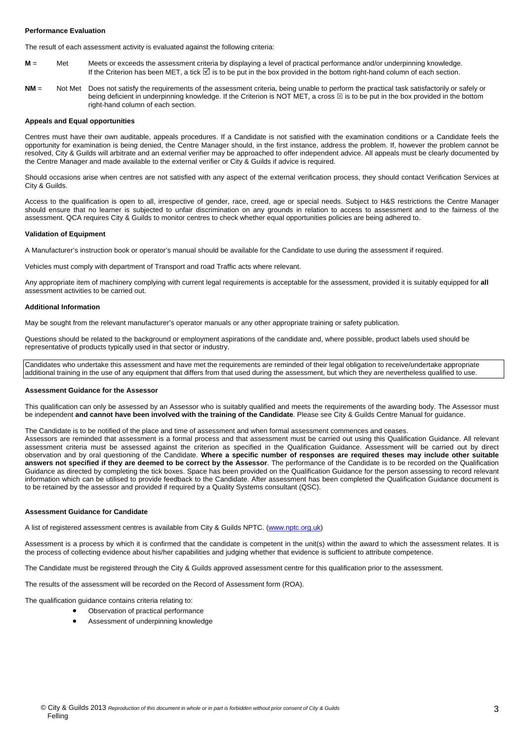#### **Performance Evaluation**

The result of each assessment activity is evaluated against the following criteria:

- **M** = Met Meets or exceeds the assessment criteria by displaying a level of practical performance and/or underpinning knowledge. If the Criterion has been MET, a tick ⊠ is to be put in the box provided in the bottom right-hand column of each section.
- **NM** = Not Met Does not satisfy the requirements of the assessment criteria, being unable to perform the practical task satisfactorily or safely or being deficient in underpinning knowledge. If the Criterion is NOT MET, a cross  $\boxtimes$  is to be put in the box provided in the bottom right-hand column of each section.

#### **Appeals and Equal opportunities**

Centres must have their own auditable, appeals procedures. If a Candidate is not satisfied with the examination conditions or a Candidate feels the opportunity for examination is being denied, the Centre Manager should, in the first instance, address the problem. If, however the problem cannot be resolved, City & Guilds will arbitrate and an external verifier may be approached to offer independent advice. All appeals must be clearly documented by the Centre Manager and made available to the external verifier or City & Guilds if advice is required.

Should occasions arise when centres are not satisfied with any aspect of the external verification process, they should contact Verification Services at City & Guilds.

Access to the qualification is open to all, irrespective of gender, race, creed, age or special needs. Subject to H&S restrictions the Centre Manager should ensure that no learner is subjected to unfair discrimination on any grounds in relation to access to assessment and to the fairness of the assessment. QCA requires City & Guilds to monitor centres to check whether equal opportunities policies are being adhered to.

#### **Validation of Equipment**

A Manufacturer's instruction book or operator's manual should be available for the Candidate to use during the assessment if required.

Vehicles must comply with department of Transport and road Traffic acts where relevant.

Any appropriate item of machinery complying with current legal requirements is acceptable for the assessment, provided it is suitably equipped for **all** assessment activities to be carried out.

#### **Additional Information**

May be sought from the relevant manufacturer's operator manuals or any other appropriate training or safety publication.

Questions should be related to the background or employment aspirations of the candidate and, where possible, product labels used should be representative of products typically used in that sector or industry.

Candidates who undertake this assessment and have met the requirements are reminded of their legal obligation to receive/undertake appropriate additional training in the use of any equipment that differs from that used during the assessment, but which they are nevertheless qualified to use.

#### **Assessment Guidance for the Assessor**

This qualification can only be assessed by an Assessor who is suitably qualified and meets the requirements of the awarding body. The Assessor must be independent **and cannot have been involved with the training of the Candidate**. Please see City & Guilds Centre Manual for guidance.

The Candidate is to be notified of the place and time of assessment and when formal assessment commences and ceases.

Assessors are reminded that assessment is a formal process and that assessment must be carried out using this Qualification Guidance. All relevant assessment criteria must be assessed against the criterion as specified in the Qualification Guidance. Assessment will be carried out by direct observation and by oral questioning of the Candidate. **Where a specific number of responses are required theses may include other suitable answers not specified if they are deemed to be correct by the Assessor**. The performance of the Candidate is to be recorded on the Qualification Guidance as directed by completing the tick boxes. Space has been provided on the Qualification Guidance for the person assessing to record relevant information which can be utilised to provide feedback to the Candidate. After assessment has been completed the Qualification Guidance document is to be retained by the assessor and provided if required by a Quality Systems consultant (QSC).

#### **Assessment Guidance for Candidate**

A list of registered assessment centres is available from City & Guilds NPTC. (www.nptc.org.uk)

Assessment is a process by which it is confirmed that the candidate is competent in the unit(s) within the award to which the assessment relates. It is the process of collecting evidence about his/her capabilities and judging whether that evidence is sufficient to attribute competence.

The Candidate must be registered through the City & Guilds approved assessment centre for this qualification prior to the assessment.

The results of the assessment will be recorded on the Record of Assessment form (ROA).

The qualification guidance contains criteria relating to:

- Observation of practical performance
- Assessment of underpinning knowledge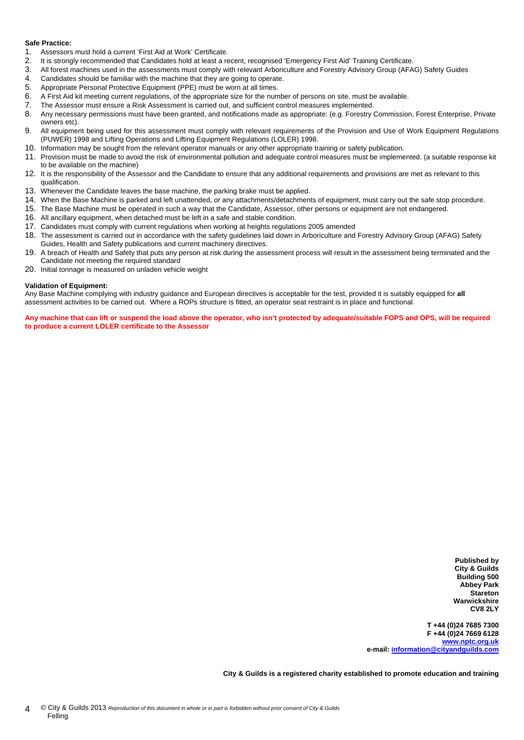#### **Safe Practice:**

- 1. Assessors must hold a current 'First Aid at Work' Certificate.
- 2. It is strongly recommended that Candidates hold at least a recent, recognised 'Emergency First Aid' Training Certificate.
- 3. All forest machines used in the assessments must comply with relevant Arboriculture and Forestry Advisory Group (AFAG) Safety Guides
- 4. Candidates should be familiar with the machine that they are going to operate.<br>5. Appropriate Personal Protective Foujoment (PPF) must be worn at all times.
- Appropriate Personal Protective Equipment (PPE) must be worn at all times.
- 6. A First Aid kit meeting current regulations, of the appropriate size for the number of persons on site, must be available.
- 7. The Assessor must ensure a Risk Assessment is carried out, and sufficient control measures implemented.
- 8. Any necessary permissions must have been granted, and notifications made as appropriate: (e.g. Forestry Commission, Forest Enterprise, Private owners etc).
- 9. All equipment being used for this assessment must comply with relevant requirements of the Provision and Use of Work Equipment Regulations (PUWER) 1998 and Lifting Operations and Lifting Equipment Regulations (LOLER) 1998.
- 10. Information may be sought from the relevant operator manuals or any other appropriate training or safety publication.
- 11. Provision must be made to avoid the risk of environmental pollution and adequate control measures must be implemented. (a suitable response kit to be available on the machine)
- 12. It is the responsibility of the Assessor and the Candidate to ensure that any additional requirements and provisions are met as relevant to this qualification.
- 13. Whenever the Candidate leaves the base machine, the parking brake must be applied.
- 14. When the Base Machine is parked and left unattended, or any attachments/detachments of equipment, must carry out the safe stop procedure.
- 15. The Base Machine must be operated in such a way that the Candidate, Assessor, other persons or equipment are not endangered.
- 16. All ancillary equipment, when detached must be left in a safe and stable condition.
- 17. Candidates must comply with current regulations when working at heights regulations 2005 amended
- 18. The assessment is carried out in accordance with the safety guidelines laid down in Arboriculture and Forestry Advisory Group (AFAG) Safety Guides, Health and Safety publications and current machinery directives.
- 19. A breach of Health and Safety that puts any person at risk during the assessment process will result in the assessment being terminated and the Candidate not meeting the required standard
- 20. Initial tonnage is measured on unladen vehicle weight

#### **Validation of Equipment:**

Any Base Machine complying with industry guidance and European directives is acceptable for the test, provided it is suitably equipped for **all** assessment activities to be carried out. Where a ROPs structure is fitted, an operator seat restraint is in place and functional.

**Any machine that can lift or suspend the load above the operator, who isn't protected by adequate/suitable FOPS and OPS, will be required to produce a current LOLER certificate to the Assessor** 

> **Published by City & Guilds Building 500 Abbey Park Stareton Warwickshire CV8 2LY**

**T +44 (0)24 7685 7300 F +44 (0)24 7669 6128 www.nptc.org.uk e-mail: information@cityandguilds.com**

**City & Guilds is a registered charity established to promote education and training**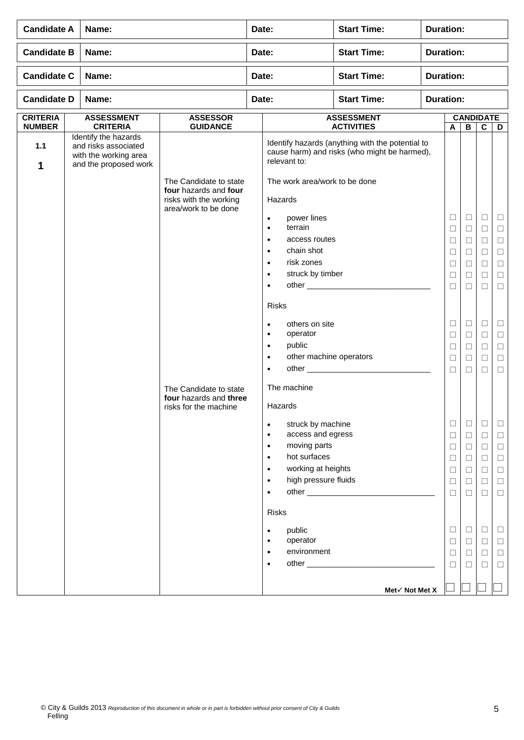| <b>Candidate A</b>               | Name:                                                                                          |                                                 | Date:                                                                                                                                                                                                                                                                                                                  | <b>Start Time:</b>                                                                               | <b>Duration:</b> |                                                                                        |                                                                                             |                                                                                        |                                                                                             |  |  |
|----------------------------------|------------------------------------------------------------------------------------------------|-------------------------------------------------|------------------------------------------------------------------------------------------------------------------------------------------------------------------------------------------------------------------------------------------------------------------------------------------------------------------------|--------------------------------------------------------------------------------------------------|------------------|----------------------------------------------------------------------------------------|---------------------------------------------------------------------------------------------|----------------------------------------------------------------------------------------|---------------------------------------------------------------------------------------------|--|--|
| <b>Candidate B</b>               | Name:                                                                                          |                                                 | Date:                                                                                                                                                                                                                                                                                                                  | <b>Start Time:</b>                                                                               | <b>Duration:</b> |                                                                                        |                                                                                             |                                                                                        |                                                                                             |  |  |
| <b>Candidate C</b>               | Name:                                                                                          |                                                 | Date:                                                                                                                                                                                                                                                                                                                  | <b>Start Time:</b>                                                                               | <b>Duration:</b> |                                                                                        |                                                                                             |                                                                                        |                                                                                             |  |  |
| <b>Candidate D</b>               | Name:                                                                                          |                                                 | Date:                                                                                                                                                                                                                                                                                                                  | <b>Start Time:</b>                                                                               |                  | <b>Duration:</b>                                                                       |                                                                                             |                                                                                        |                                                                                             |  |  |
| <b>CRITERIA</b><br><b>NUMBER</b> | <b>ASSESSMENT</b><br><b>CRITERIA</b>                                                           | <b>ASSESSOR</b><br><b>GUIDANCE</b>              |                                                                                                                                                                                                                                                                                                                        | <b>ASSESSMENT</b><br><b>ACTIVITIES</b>                                                           |                  |                                                                                        | $\overline{B}$                                                                              | <b>CANDIDATE</b><br>$\mathbf c$                                                        | D                                                                                           |  |  |
| 1.1<br>1                         | Identify the hazards<br>and risks associated<br>with the working area<br>and the proposed work | The Candidate to state<br>four hazards and four | relevant to:<br>The work area/work to be done                                                                                                                                                                                                                                                                          | Identify hazards (anything with the potential to<br>cause harm) and risks (who might be harmed), |                  |                                                                                        |                                                                                             |                                                                                        |                                                                                             |  |  |
|                                  |                                                                                                | risks with the working<br>area/work to be done  | Hazards<br>power lines<br>$\bullet$<br>terrain<br>$\bullet$<br>access routes<br>$\bullet$<br>chain shot<br>$\bullet$<br>risk zones<br>$\bullet$<br>struck by timber<br>$\bullet$<br>$\bullet$<br><b>Risks</b>                                                                                                          |                                                                                                  |                  | $\Box$<br>$\Box$<br>□<br>□<br>□<br>⊔<br>$\Box$                                         | $\Box$<br>$\Box$<br>□<br>$\Box$<br>$\Box$<br>Ш<br>□                                         | Ц<br>$\Box$<br>⊔<br>$\Box$<br>$\Box$<br>⊔<br>$\Box$                                    | $\Box$<br>$\Box$<br>$\Box$<br>$\Box$<br>$\Box$<br>□<br>$\Box$                               |  |  |
|                                  |                                                                                                | The Candidate to state                          | others on site<br>$\bullet$<br>operator<br>$\bullet$<br>public<br>$\bullet$<br>other machine operators<br>$\bullet$<br>other _____________<br>$\bullet$<br>The machine                                                                                                                                                 |                                                                                                  |                  | $\Box$<br>□<br>$\Box$<br>$\Box$<br>$\Box$                                              | $\Box$<br>$\Box$<br>$\Box$<br>$\Box$<br>□                                                   | $\Box$<br>□<br>$\Box$<br>$\Box$<br>□                                                   | $\Box$<br>$\Box$<br>$\Box$<br>$\Box$<br>$\Box$                                              |  |  |
|                                  |                                                                                                | four hazards and three<br>risks for the machine | Hazards<br>struck by machine<br>$\bullet$<br>access and egress<br>$\bullet$<br>moving parts<br>$\bullet$<br>hot surfaces<br>$\bullet$<br>working at heights<br>$\bullet$<br>high pressure fluids<br>$\bullet$<br>$\bullet$<br><b>Risks</b><br>public<br>$\bullet$<br>operator<br>$\bullet$<br>environment<br>$\bullet$ |                                                                                                  |                  | □<br>$\Box$<br>$\Box$<br>$\Box$<br>$\Box$<br>$\Box$<br>$\Box$<br>□<br>$\Box$<br>$\Box$ | □<br>$\Box$<br>$\Box$<br>$\Box$<br>$\Box$<br>$\Box$<br>$\Box$<br>$\Box$<br>$\Box$<br>$\Box$ | □<br>□<br>$\Box$<br>$\Box$<br>$\Box$<br>$\Box$<br>$\Box$<br>$\Box$<br>$\Box$<br>$\Box$ | □<br>$\Box$<br>$\Box$<br>$\Box$<br>$\Box$<br>$\Box$<br>$\Box$<br>$\Box$<br>$\Box$<br>$\Box$ |  |  |
|                                  |                                                                                                |                                                 | $\bullet$                                                                                                                                                                                                                                                                                                              | Met√ Not Met X                                                                                   |                  | $\Box$                                                                                 | П                                                                                           | П                                                                                      | $\Box$                                                                                      |  |  |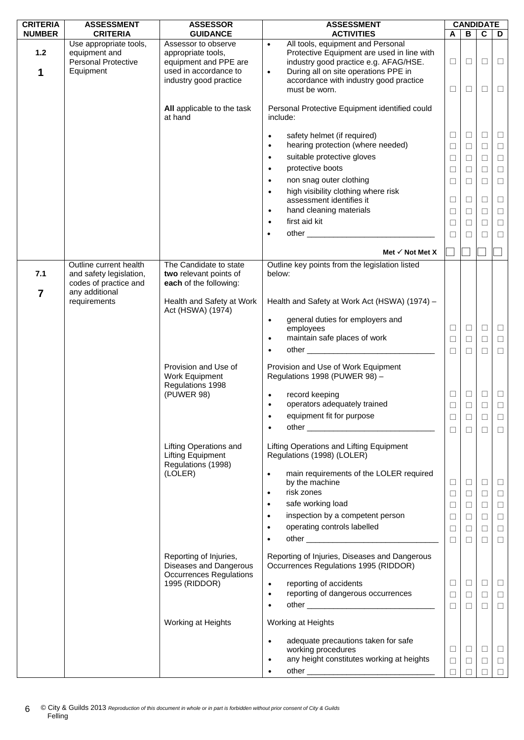| <b>CRITERIA</b> | <b>ASSESSMENT</b>          | <b>ASSESSOR</b>                                | <b>ASSESSMENT</b>                                                                           |        | <b>CANDIDATE</b> |        |        |
|-----------------|----------------------------|------------------------------------------------|---------------------------------------------------------------------------------------------|--------|------------------|--------|--------|
| <b>NUMBER</b>   | <b>CRITERIA</b>            | <b>GUIDANCE</b>                                | <b>ACTIVITIES</b>                                                                           | A      | В                | C      | D      |
|                 | Use appropriate tools,     | Assessor to observe                            | All tools, equipment and Personal<br>$\bullet$                                              |        |                  |        |        |
| $1.2$           | equipment and              | appropriate tools,                             | Protective Equipment are used in line with                                                  |        |                  |        |        |
|                 | <b>Personal Protective</b> | equipment and PPE are<br>used in accordance to | industry good practice e.g. AFAG/HSE.                                                       | □      | $\Box$           | $\Box$ | $\Box$ |
| 1               | Equipment                  | industry good practice                         | During all on site operations PPE in<br>$\bullet$<br>accordance with industry good practice |        |                  |        |        |
|                 |                            |                                                | must be worn.                                                                               | □      | □                | □      | $\Box$ |
|                 |                            |                                                |                                                                                             |        |                  |        |        |
|                 |                            | All applicable to the task                     | Personal Protective Equipment identified could                                              |        |                  |        |        |
|                 |                            | at hand                                        | include:                                                                                    |        |                  |        |        |
|                 |                            |                                                |                                                                                             |        |                  |        |        |
|                 |                            |                                                | safety helmet (if required)<br>$\bullet$                                                    | $\Box$ | □                | $\Box$ | $\Box$ |
|                 |                            |                                                | hearing protection (where needed)<br>$\bullet$                                              | □      | П                | □      | $\Box$ |
|                 |                            |                                                | suitable protective gloves<br>$\bullet$                                                     | $\Box$ | $\Box$           | $\Box$ | $\Box$ |
|                 |                            |                                                | protective boots<br>$\bullet$                                                               | □      | □                | $\Box$ | $\Box$ |
|                 |                            |                                                |                                                                                             |        |                  |        |        |
|                 |                            |                                                | non snag outer clothing<br>$\bullet$                                                        | $\Box$ | $\Box$           | $\Box$ | $\Box$ |
|                 |                            |                                                | high visibility clothing where risk<br>$\bullet$                                            |        |                  |        |        |
|                 |                            |                                                | assessment identifies it                                                                    | □      | □                | $\Box$ | $\Box$ |
|                 |                            |                                                | hand cleaning materials<br>$\bullet$                                                        | $\Box$ | $\Box$           | $\Box$ | $\Box$ |
|                 |                            |                                                | first aid kit<br>$\bullet$                                                                  | $\Box$ | □                | $\Box$ | $\Box$ |
|                 |                            |                                                | $\bullet$                                                                                   | $\Box$ | П                | □      | $\Box$ |
|                 |                            |                                                |                                                                                             |        |                  |        |        |
|                 |                            |                                                | Met $\checkmark$ Not Met X                                                                  |        |                  |        |        |
|                 | Outline current health     | The Candidate to state                         | Outline key points from the legislation listed                                              |        |                  |        |        |
| 7.1             | and safety legislation,    | two relevant points of                         | below:                                                                                      |        |                  |        |        |
|                 | codes of practice and      | each of the following:                         |                                                                                             |        |                  |        |        |
| $\overline{7}$  | any additional             |                                                |                                                                                             |        |                  |        |        |
|                 | requirements               | Health and Safety at Work<br>Act (HSWA) (1974) | Health and Safety at Work Act (HSWA) (1974) -                                               |        |                  |        |        |
|                 |                            |                                                | general duties for employers and<br>$\bullet$                                               |        |                  |        |        |
|                 |                            |                                                | employees                                                                                   | $\Box$ | $\Box$           | $\Box$ | $\Box$ |
|                 |                            |                                                | maintain safe places of work<br>$\bullet$                                                   | $\Box$ | $\Box$           | $\Box$ | $\Box$ |
|                 |                            |                                                | $\bullet$                                                                                   | $\Box$ | $\Box$           | $\Box$ | $\Box$ |
|                 |                            | Provision and Use of                           | Provision and Use of Work Equipment                                                         |        |                  |        |        |
|                 |                            | Work Equipment                                 | Regulations 1998 (PUWER 98) -                                                               |        |                  |        |        |
|                 |                            | Regulations 1998                               |                                                                                             |        |                  |        |        |
|                 |                            | (PUWER 98)                                     | record keeping<br>$\bullet$                                                                 | □      | □                | □      | $\Box$ |
|                 |                            |                                                | operators adequately trained<br>٠                                                           | $\Box$ | П                | $\Box$ | $\Box$ |
|                 |                            |                                                | equipment fit for purpose                                                                   |        |                  | $\Box$ | $\Box$ |
|                 |                            |                                                | $\bullet$                                                                                   |        |                  |        |        |
|                 |                            |                                                |                                                                                             | $\Box$ | $\Box$           | □      | $\Box$ |
|                 |                            | <b>Lifting Operations and</b>                  | Lifting Operations and Lifting Equipment                                                    |        |                  |        |        |
|                 |                            | <b>Lifting Equipment</b>                       | Regulations (1998) (LOLER)                                                                  |        |                  |        |        |
|                 |                            | Regulations (1998)                             |                                                                                             |        |                  |        |        |
|                 |                            | (LOLER)                                        | main requirements of the LOLER required<br>$\bullet$                                        |        |                  |        |        |
|                 |                            |                                                | by the machine                                                                              | □      | $\Box$           | $\Box$ | $\Box$ |
|                 |                            |                                                | risk zones<br>$\bullet$                                                                     | □      | $\Box$           | $\Box$ | $\Box$ |
|                 |                            |                                                | safe working load                                                                           | □      | $\Box$           | $\Box$ | $\Box$ |
|                 |                            |                                                | inspection by a competent person<br>$\bullet$                                               | □      | $\Box$           | $\Box$ | $\Box$ |
|                 |                            |                                                | operating controls labelled<br>$\bullet$                                                    | □      | $\Box$           | $\Box$ | $\Box$ |
|                 |                            |                                                | $\bullet$                                                                                   |        | $\Box$           |        |        |
|                 |                            |                                                |                                                                                             | $\Box$ |                  | П      | $\Box$ |
|                 |                            | Reporting of Injuries,                         | Reporting of Injuries, Diseases and Dangerous                                               |        |                  |        |        |
|                 |                            | Diseases and Dangerous                         | Occurrences Regulations 1995 (RIDDOR)                                                       |        |                  |        |        |
|                 |                            | <b>Occurrences Regulations</b>                 |                                                                                             |        |                  |        |        |
|                 |                            | 1995 (RIDDOR)                                  | reporting of accidents<br>$\bullet$                                                         | $\Box$ | $\Box$           | $\Box$ | $\Box$ |
|                 |                            |                                                | reporting of dangerous occurrences<br>$\bullet$                                             | □      | $\Box$           | $\Box$ | $\Box$ |
|                 |                            |                                                | $\bullet$                                                                                   | $\Box$ | $\Box$           | $\Box$ | $\Box$ |
|                 |                            |                                                |                                                                                             |        |                  |        |        |
|                 |                            | Working at Heights                             | Working at Heights                                                                          |        |                  |        |        |
|                 |                            |                                                | adequate precautions taken for safe<br>$\bullet$                                            |        |                  |        |        |
|                 |                            |                                                | working procedures                                                                          | $\Box$ | $\Box$           | □      | $\Box$ |
|                 |                            |                                                | any height constitutes working at heights<br>$\bullet$                                      | $\Box$ | $\Box$           | □      | $\Box$ |
|                 |                            |                                                | ٠                                                                                           | $\Box$ | $\Box$           | $\Box$ | $\Box$ |
|                 |                            |                                                |                                                                                             |        |                  |        |        |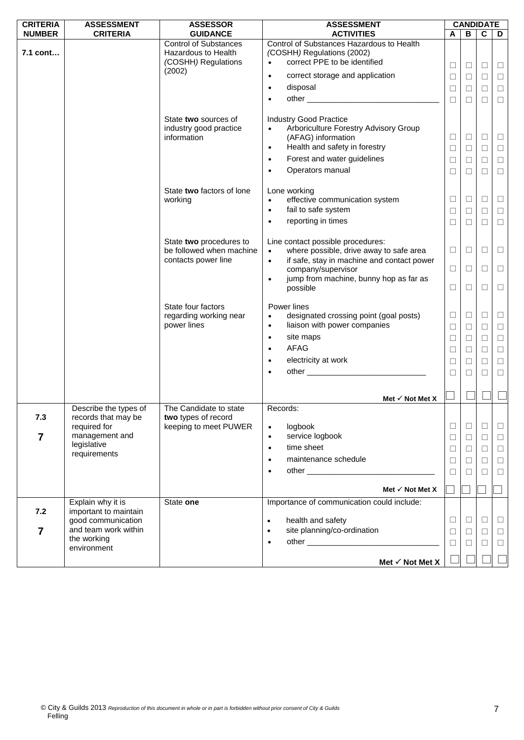| <b>CRITERIA</b> | <b>ASSESSMENT</b>                                                                                 | <b>ASSESSOR</b>                                                            | <b>ASSESSMENT</b>                                                                                                                                                                                                       |                                 |                                 | <b>CANDIDATE</b>           |                                      |
|-----------------|---------------------------------------------------------------------------------------------------|----------------------------------------------------------------------------|-------------------------------------------------------------------------------------------------------------------------------------------------------------------------------------------------------------------------|---------------------------------|---------------------------------|----------------------------|--------------------------------------|
| <b>NUMBER</b>   | <b>CRITERIA</b>                                                                                   | <b>GUIDANCE</b>                                                            | <b>ACTIVITIES</b>                                                                                                                                                                                                       | A                               | В                               | $\mathbf c$                | D                                    |
| 7.1 cont        |                                                                                                   | <b>Control of Substances</b><br>Hazardous to Health<br>(COSHH) Regulations | Control of Substances Hazardous to Health<br>(COSHH) Regulations (2002)<br>correct PPE to be identified<br>$\bullet$                                                                                                    |                                 |                                 |                            |                                      |
|                 |                                                                                                   | (2002)                                                                     | correct storage and application<br>$\bullet$                                                                                                                                                                            | $\Box$                          | □                               | $\Box$                     | $\Box$                               |
|                 |                                                                                                   |                                                                            | disposal<br>$\bullet$                                                                                                                                                                                                   | $\Box$                          | □                               | $\Box$                     | $\Box$                               |
|                 |                                                                                                   |                                                                            |                                                                                                                                                                                                                         | $\Box$                          | $\Box$                          | $\Box$                     | $\Box$                               |
|                 |                                                                                                   |                                                                            | $\bullet$                                                                                                                                                                                                               | $\Box$                          | □                               | $\Box$                     | $\Box$                               |
|                 |                                                                                                   | State two sources of<br>industry good practice<br>information              | <b>Industry Good Practice</b><br>Arboriculture Forestry Advisory Group<br>(AFAG) information<br>Health and safety in forestry<br>$\bullet$<br>Forest and water guidelines<br>$\bullet$<br>Operators manual<br>$\bullet$ | $\Box$<br>$\Box$<br>$\Box$<br>□ | $\Box$<br>$\Box$<br>$\Box$<br>□ | □<br>$\Box$<br>$\Box$<br>П | $\Box$<br>$\Box$<br>$\Box$<br>$\Box$ |
|                 |                                                                                                   | State two factors of lone<br>working                                       | Lone working<br>effective communication system<br>$\bullet$<br>fail to safe system<br>$\bullet$<br>reporting in times<br>$\bullet$                                                                                      | $\Box$<br>$\Box$<br>$\Box$      | $\Box$<br>⊔<br>$\Box$           | $\Box$<br>□<br>$\Box$      | $\Box$<br>$\Box$<br>$\Box$           |
|                 |                                                                                                   | State two procedures to<br>be followed when machine<br>contacts power line | Line contact possible procedures:<br>where possible, drive away to safe area<br>$\bullet$<br>if safe, stay in machine and contact power<br>$\bullet$                                                                    | $\Box$                          | □                               | □                          | $\Box$                               |
|                 |                                                                                                   |                                                                            | company/supervisor                                                                                                                                                                                                      | $\Box$                          | ⊔                               | $\Box$                     | $\Box$                               |
|                 |                                                                                                   |                                                                            | jump from machine, bunny hop as far as<br>$\bullet$<br>possible                                                                                                                                                         | □                               | □                               | □                          | $\Box$                               |
|                 |                                                                                                   | State four factors<br>regarding working near<br>power lines                | Power lines<br>designated crossing point (goal posts)<br>$\bullet$<br>liaison with power companies<br>$\bullet$                                                                                                         | $\Box$<br>$\Box$                | $\Box$<br>□                     | $\Box$<br>$\Box$           | $\Box$<br>$\Box$                     |
|                 |                                                                                                   |                                                                            | site maps<br>$\bullet$                                                                                                                                                                                                  | $\Box$                          | $\Box$                          | $\Box$                     | $\Box$                               |
|                 |                                                                                                   |                                                                            | AFAG<br>$\bullet$                                                                                                                                                                                                       | $\Box$                          | □                               | $\Box$                     | $\Box$                               |
|                 |                                                                                                   |                                                                            | electricity at work<br>$\bullet$                                                                                                                                                                                        | $\Box$                          | ⊔                               | $\Box$                     | $\Box$                               |
|                 |                                                                                                   |                                                                            | $\bullet$                                                                                                                                                                                                               | $\Box$                          | $\Box$                          | $\Box$                     | $\Box$                               |
|                 |                                                                                                   |                                                                            |                                                                                                                                                                                                                         |                                 |                                 |                            |                                      |
|                 |                                                                                                   |                                                                            | Met $\checkmark$ Not Met X                                                                                                                                                                                              |                                 |                                 |                            |                                      |
|                 | Describe the types of                                                                             | The Candidate to state                                                     | Records:                                                                                                                                                                                                                |                                 |                                 |                            |                                      |
| 7.3             | records that may be<br>required for                                                               | two types of record<br>keeping to meet PUWER                               | logbook<br>$\bullet$                                                                                                                                                                                                    | $\Box$                          | □                               | $\Box$                     | $\Box$                               |
| 7               | management and                                                                                    |                                                                            | service logbook<br>$\bullet$                                                                                                                                                                                            | $\Box$                          | ⊔                               | □                          | $\Box$                               |
|                 | legislative                                                                                       |                                                                            | time sheet<br>$\bullet$                                                                                                                                                                                                 | $\Box$                          | ⊔                               | $\Box$                     | $\Box$                               |
|                 | requirements                                                                                      |                                                                            | maintenance schedule<br>$\bullet$                                                                                                                                                                                       | $\Box$                          | □                               | $\Box$                     | $\Box$                               |
|                 |                                                                                                   |                                                                            | $\bullet$                                                                                                                                                                                                               | □                               | $\mathbf{1}$                    | П                          | $\Box$                               |
|                 |                                                                                                   |                                                                            |                                                                                                                                                                                                                         |                                 |                                 |                            |                                      |
|                 |                                                                                                   |                                                                            | Met $\checkmark$ Not Met X                                                                                                                                                                                              |                                 |                                 |                            |                                      |
|                 | Explain why it is                                                                                 | State one                                                                  | Importance of communication could include:                                                                                                                                                                              |                                 |                                 |                            |                                      |
| 7.2<br>7        | important to maintain<br>good communication<br>and team work within<br>the working<br>environment |                                                                            | health and safety<br>$\bullet$<br>site planning/co-ordination<br>$\bullet$<br>$\bullet$                                                                                                                                 | $\Box$<br>$\Box$<br>$\Box$      | ⊔<br>□<br>⊔                     | □<br>$\Box$<br>$\Box$      | $\Box$<br>$\Box$<br>$\Box$           |
|                 |                                                                                                   |                                                                            | Met $\checkmark$ Not Met X                                                                                                                                                                                              |                                 |                                 |                            |                                      |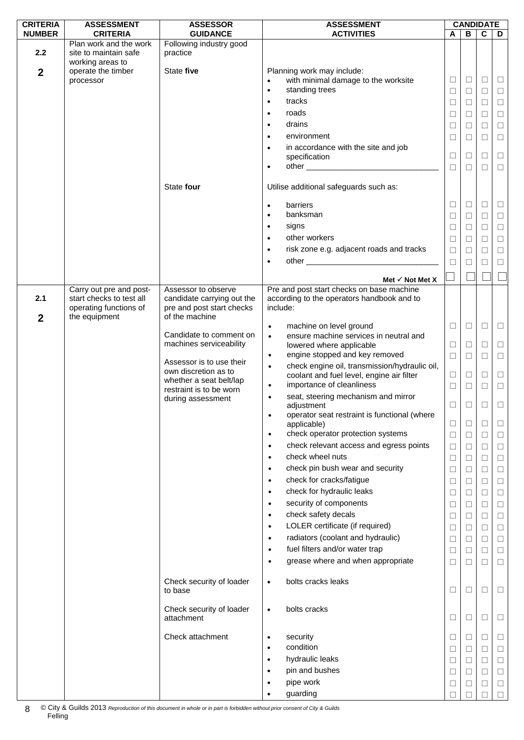| <b>CRITERIA</b>  | <b>ASSESSMENT</b>               | <b>ASSESSOR</b>                        | <b>ASSESSMENT</b>                                          |        |        | <b>CANDIDATE</b> |        |
|------------------|---------------------------------|----------------------------------------|------------------------------------------------------------|--------|--------|------------------|--------|
| <b>NUMBER</b>    | <b>CRITERIA</b>                 | <b>GUIDANCE</b>                        | <b>ACTIVITIES</b>                                          | A      | B      | C                | D      |
|                  | Plan work and the work          | Following industry good                |                                                            |        |        |                  |        |
| 2.2              | site to maintain safe           | practice                               |                                                            |        |        |                  |        |
|                  | working areas to                | State five                             | Planning work may include:                                 |        |        |                  |        |
| $\boldsymbol{2}$ | operate the timber<br>processor |                                        | with minimal damage to the worksite<br>$\bullet$           | $\Box$ | $\Box$ | $\Box$           | $\Box$ |
|                  |                                 |                                        | standing trees                                             |        |        |                  |        |
|                  |                                 |                                        | $\bullet$                                                  | □      | □      | $\Box$           | $\Box$ |
|                  |                                 |                                        | tracks<br>$\bullet$                                        | $\Box$ | $\Box$ | $\Box$           | $\Box$ |
|                  |                                 |                                        | roads<br>$\bullet$                                         | $\Box$ | □      | $\Box$           | $\Box$ |
|                  |                                 |                                        | drains<br>$\bullet$                                        | □      | □      | $\Box$           | $\Box$ |
|                  |                                 |                                        | environment<br>$\bullet$                                   | $\Box$ |        | $\Box$           | $\Box$ |
|                  |                                 |                                        |                                                            |        | □      |                  |        |
|                  |                                 |                                        | in accordance with the site and job<br>$\bullet$           | $\Box$ | $\Box$ | $\Box$           | $\Box$ |
|                  |                                 |                                        | specification                                              |        |        |                  |        |
|                  |                                 |                                        | $\bullet$                                                  | □      | □      | П                | $\Box$ |
|                  |                                 | State four                             | Utilise additional safeguards such as:                     |        |        |                  |        |
|                  |                                 |                                        |                                                            |        |        |                  |        |
|                  |                                 |                                        | barriers<br>$\bullet$                                      | □      | □      | $\Box$           | ш      |
|                  |                                 |                                        | banksman<br>$\bullet$                                      |        |        | $\Box$           |        |
|                  |                                 |                                        |                                                            | $\Box$ | $\Box$ |                  | $\Box$ |
|                  |                                 |                                        | signs<br>$\bullet$                                         | $\Box$ | □      | $\Box$           | $\Box$ |
|                  |                                 |                                        | other workers<br>$\bullet$                                 | $\Box$ | ⊔      | $\Box$           | $\Box$ |
|                  |                                 |                                        | risk zone e.g. adjacent roads and tracks<br>$\bullet$      | $\Box$ | $\Box$ | $\Box$           | $\Box$ |
|                  |                                 |                                        | $\bullet$                                                  | $\Box$ | □      | $\Box$           | $\Box$ |
|                  |                                 |                                        |                                                            |        |        |                  |        |
|                  |                                 |                                        | Met $\checkmark$ Not Met X                                 |        |        |                  |        |
|                  | Carry out pre and post-         | Assessor to observe                    | Pre and post start checks on base machine                  |        |        |                  |        |
| 2.1              | start checks to test all        | candidate carrying out the             | according to the operators handbook and to                 |        |        |                  |        |
|                  | operating functions of          | pre and post start checks              | include:                                                   |        |        |                  |        |
| $\boldsymbol{2}$ | the equipment                   | of the machine                         |                                                            |        |        |                  |        |
|                  |                                 |                                        | machine on level ground<br>$\bullet$                       | ⊔      | □      | □                | $\Box$ |
|                  |                                 | Candidate to comment on                | ensure machine services in neutral and<br>$\bullet$        |        |        |                  |        |
|                  |                                 | machines serviceability                | lowered where applicable                                   | $\Box$ | Ш      | □                | $\Box$ |
|                  |                                 |                                        | engine stopped and key removed<br>$\bullet$                | $\Box$ | $\Box$ | $\Box$           | $\Box$ |
|                  |                                 | Assessor is to use their               | check engine oil, transmission/hydraulic oil,<br>$\bullet$ |        |        |                  |        |
|                  |                                 | own discretion as to                   | coolant and fuel level, engine air filter                  | $\Box$ | $\Box$ | $\Box$           | $\Box$ |
|                  |                                 | whether a seat belt/lap                | importance of cleanliness<br>$\bullet$                     | $\Box$ | $\Box$ | $\Box$           | $\Box$ |
|                  |                                 | restraint is to be worn                | seat, steering mechanism and mirror<br>$\bullet$           |        |        |                  |        |
|                  |                                 | during assessment                      | adjustment                                                 | □      | □      | □                | $\Box$ |
|                  |                                 |                                        | operator seat restraint is functional (where               |        |        |                  |        |
|                  |                                 |                                        | applicable)                                                | □      | ⊔      | □                | ⊔      |
|                  |                                 |                                        | check operator protection systems<br>$\bullet$             | $\Box$ | $\Box$ | $\Box$           | $\Box$ |
|                  |                                 |                                        | check relevant access and egress points                    |        |        |                  |        |
|                  |                                 |                                        | $\bullet$                                                  | $\Box$ | $\Box$ | $\Box$           | $\Box$ |
|                  |                                 |                                        | check wheel nuts<br>$\bullet$                              | □      | Ш      | □                | $\Box$ |
|                  |                                 |                                        | check pin bush wear and security<br>$\bullet$              | $\Box$ | □      | $\Box$           | $\Box$ |
|                  |                                 |                                        | check for cracks/fatigue<br>$\bullet$                      | □      | □      | $\Box$           | $\Box$ |
|                  |                                 |                                        | check for hydraulic leaks<br>$\bullet$                     | $\Box$ |        | $\Box$           | $\Box$ |
|                  |                                 |                                        |                                                            |        | $\Box$ |                  |        |
|                  |                                 |                                        | security of components<br>$\bullet$                        | $\Box$ | $\Box$ | $\Box$           | $\Box$ |
|                  |                                 |                                        | check safety decals<br>$\bullet$                           | □      | □      | $\Box$           | $\Box$ |
|                  |                                 |                                        | LOLER certificate (if required)<br>$\bullet$               | $\Box$ | $\Box$ | $\Box$           | $\Box$ |
|                  |                                 |                                        | radiators (coolant and hydraulic)<br>$\bullet$             | □      | ⊔      | $\Box$           | □      |
|                  |                                 |                                        | fuel filters and/or water trap<br>$\bullet$                |        |        |                  |        |
|                  |                                 |                                        |                                                            | $\Box$ | $\Box$ | $\Box$           | $\Box$ |
|                  |                                 |                                        | grease where and when appropriate<br>$\bullet$             | $\Box$ | $\Box$ | $\Box$           | $\Box$ |
|                  |                                 |                                        |                                                            |        |        |                  |        |
|                  |                                 | Check security of loader               | bolts cracks leaks<br>$\bullet$                            |        |        |                  |        |
|                  |                                 | to base                                |                                                            | ⊔      | ⊔      | $\Box$           | ⊔      |
|                  |                                 |                                        | bolts cracks                                               |        |        |                  |        |
|                  |                                 | Check security of loader<br>attachment | $\bullet$                                                  | ⊔      | ⊔      | $\Box$           | ⊔      |
|                  |                                 |                                        |                                                            |        |        |                  |        |
|                  |                                 | Check attachment                       | security<br>$\bullet$                                      |        |        |                  |        |
|                  |                                 |                                        | condition                                                  | Ш      | Ш      | □                | ⊔      |
|                  |                                 |                                        | $\bullet$                                                  | $\Box$ | □      | $\Box$           | $\Box$ |
|                  |                                 |                                        | hydraulic leaks<br>$\bullet$                               | □      | ⊔      | $\Box$           | □      |
|                  |                                 |                                        | pin and bushes<br>$\bullet$                                | $\Box$ | $\Box$ | $\Box$           | $\Box$ |
|                  |                                 |                                        | pipe work<br>$\bullet$                                     | ⊔      | ⊔      | $\Box$           | □      |
|                  |                                 |                                        | guarding                                                   |        |        |                  | □      |
|                  |                                 |                                        |                                                            |        |        |                  |        |

© City & Guilds 2013 *Reproduction of this document in whole or in part is forbidden without prior consent of City & Guilds*  Felling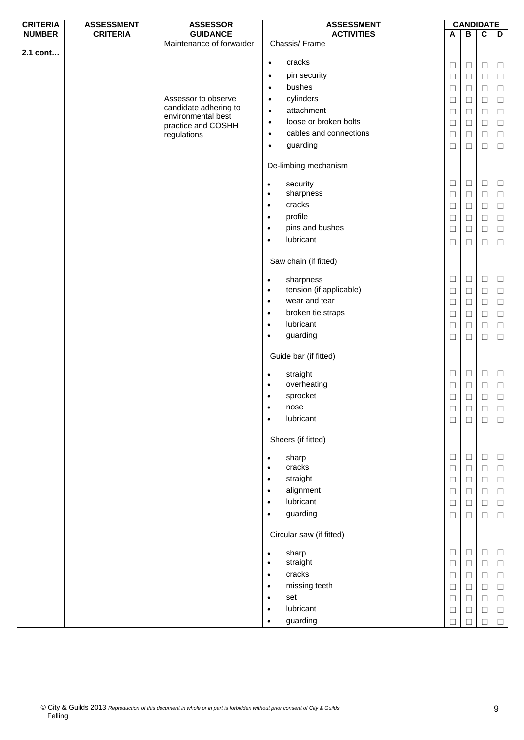| <b>CRITERIA</b> | <b>ASSESSMENT</b><br><b>CRITERIA</b> | <b>ASSESSOR</b>                              |                        | <b>ASSESSMENT</b>                   |        |              | <b>CANDIDATE</b> |        |
|-----------------|--------------------------------------|----------------------------------------------|------------------------|-------------------------------------|--------|--------------|------------------|--------|
| <b>NUMBER</b>   |                                      | <b>GUIDANCE</b><br>Maintenance of forwarder  |                        | <b>ACTIVITIES</b><br>Chassis/Frame  | A      | $\, {\bf B}$ | $\mathbf C$      | D      |
| 2.1 cont        |                                      |                                              |                        |                                     |        |              |                  |        |
|                 |                                      |                                              | $\bullet$              | cracks                              | $\Box$ | $\Box$       | $\Box$           | $\Box$ |
|                 |                                      |                                              | $\bullet$              | pin security                        | $\Box$ | $\Box$       | $\Box$           | $\Box$ |
|                 |                                      |                                              | $\bullet$              | bushes                              | $\Box$ | $\Box$       | $\Box$           | $\Box$ |
|                 |                                      | Assessor to observe<br>candidate adhering to | $\bullet$              | cylinders                           | $\Box$ | $\Box$       | $\Box$           | $\Box$ |
|                 |                                      | environmental best                           | $\bullet$              | attachment<br>loose or broken bolts | $\Box$ | $\Box$       | $\Box$           | $\Box$ |
|                 |                                      | practice and COSHH                           | $\bullet$              | cables and connections              | $\Box$ | $\Box$       | $\Box$           | $\Box$ |
|                 |                                      | regulations                                  | $\bullet$<br>$\bullet$ | guarding                            | $\Box$ | $\Box$       | $\Box$           | $\Box$ |
|                 |                                      |                                              |                        |                                     | $\Box$ | $\Box$       | $\Box$           | $\Box$ |
|                 |                                      |                                              |                        | De-limbing mechanism                |        |              |                  |        |
|                 |                                      |                                              | $\bullet$              | security                            | $\Box$ | $\Box$       | $\Box$           | ⊔      |
|                 |                                      |                                              | $\bullet$              | sharpness                           | $\Box$ | $\Box$       | $\Box$           | $\Box$ |
|                 |                                      |                                              | $\bullet$              | cracks                              | $\Box$ | $\Box$       | $\Box$           | $\Box$ |
|                 |                                      |                                              | $\bullet$              | profile                             | □      | □            | $\Box$           | $\Box$ |
|                 |                                      |                                              | $\bullet$              | pins and bushes                     | $\Box$ | $\Box$       | $\Box$           | $\Box$ |
|                 |                                      |                                              | $\bullet$              | lubricant                           | $\Box$ | $\Box$       | $\Box$           | $\Box$ |
|                 |                                      |                                              |                        | Saw chain (if fitted)               |        |              |                  |        |
|                 |                                      |                                              | $\bullet$              | sharpness                           | $\Box$ | $\Box$       | $\Box$           | $\Box$ |
|                 |                                      |                                              | $\bullet$              | tension (if applicable)             | $\Box$ | $\Box$       | $\Box$           | $\Box$ |
|                 |                                      |                                              | $\bullet$              | wear and tear                       | $\Box$ | $\Box$       | $\Box$           | $\Box$ |
|                 |                                      |                                              | $\bullet$              | broken tie straps                   | $\Box$ | $\Box$       | $\Box$           | $\Box$ |
|                 |                                      |                                              | $\bullet$              | lubricant                           | $\Box$ | $\Box$       | $\Box$           | $\Box$ |
|                 |                                      |                                              | $\bullet$              | guarding                            | $\Box$ | $\Box$       | $\Box$           | $\Box$ |
|                 |                                      |                                              |                        | Guide bar (if fitted)               |        |              |                  |        |
|                 |                                      |                                              | $\bullet$              | straight                            | $\Box$ | $\Box$       | $\Box$           | $\Box$ |
|                 |                                      |                                              | $\bullet$              | overheating                         | $\Box$ | $\Box$       | $\Box$           | $\Box$ |
|                 |                                      |                                              |                        | sprocket                            | □      | Ш            | $\Box$           | $\Box$ |
|                 |                                      |                                              | $\bullet$              | nose                                | $\Box$ | $\Box$       | $\Box$           | $\Box$ |
|                 |                                      |                                              | $\bullet$              | lubricant                           | $\Box$ | □            | $\Box$           | □      |
|                 |                                      |                                              |                        | Sheers (if fitted)                  |        |              |                  |        |
|                 |                                      |                                              | ٠                      | sharp                               | $\Box$ | $\Box$       | $\Box$           | □      |
|                 |                                      |                                              | $\bullet$              | cracks                              | $\Box$ | $\Box$       | $\Box$           | $\Box$ |
|                 |                                      |                                              | $\bullet$              | straight                            | $\Box$ | $\Box$       | $\Box$           | $\Box$ |
|                 |                                      |                                              | $\bullet$              | alignment                           | $\Box$ | □            | $\Box$           | $\Box$ |
|                 |                                      |                                              | $\bullet$              | lubricant                           | $\Box$ | $\Box$       | $\Box$           | $\Box$ |
|                 |                                      |                                              | $\bullet$              | guarding                            | $\Box$ | $\Box$       | $\Box$           | $\Box$ |
|                 |                                      |                                              |                        | Circular saw (if fitted)            |        |              |                  |        |
|                 |                                      |                                              | ٠                      | sharp                               | $\Box$ | $\Box$       | $\Box$           | Ш      |
|                 |                                      |                                              | $\bullet$              | straight                            | $\Box$ | $\Box$       | $\Box$           | $\Box$ |
|                 |                                      |                                              | $\bullet$              | cracks                              | $\Box$ | $\Box$       | $\Box$           | $\Box$ |
|                 |                                      |                                              | $\bullet$              | missing teeth                       | $\Box$ | $\Box$       | $\Box$           | $\Box$ |
|                 |                                      |                                              | $\bullet$              | set                                 | $\Box$ | □            | $\Box$           | $\Box$ |
|                 |                                      |                                              | $\bullet$              | lubricant                           | $\Box$ | Ш            | $\Box$           | $\Box$ |
|                 |                                      |                                              | $\bullet$              | guarding                            | $\Box$ |              | $\Box$           | $\Box$ |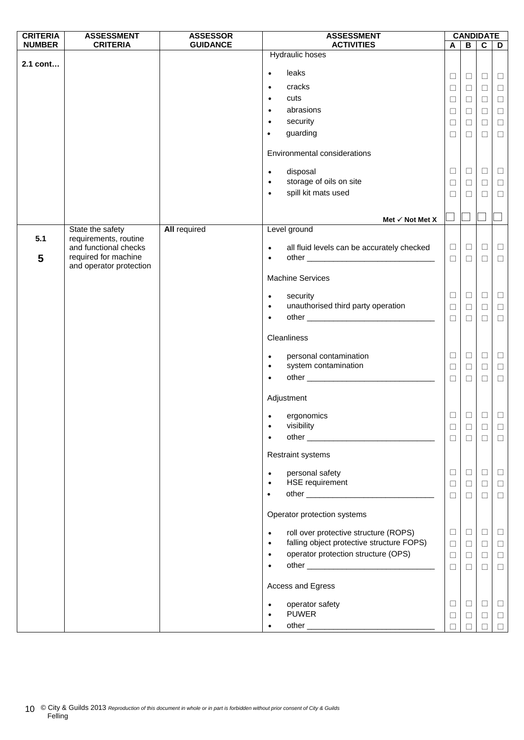| <b>CRITERIA</b> | <b>ASSESSMENT</b>                             | <b>ASSESSOR</b>     | <b>ASSESSMENT</b>                                       |        |        | <b>CANDIDATE</b> |        |
|-----------------|-----------------------------------------------|---------------------|---------------------------------------------------------|--------|--------|------------------|--------|
| <b>NUMBER</b>   | <b>CRITERIA</b>                               | <b>GUIDANCE</b>     | <b>ACTIVITIES</b>                                       | A      | B      | $\mathbf{c}$     | D      |
| 2.1 cont        |                                               |                     | <b>Hydraulic hoses</b>                                  |        |        |                  |        |
|                 |                                               |                     | leaks<br>$\bullet$                                      |        |        |                  |        |
|                 |                                               |                     | cracks<br>$\bullet$                                     | $\Box$ | $\Box$ | $\Box$           | $\Box$ |
|                 |                                               |                     | cuts<br>$\bullet$                                       | $\Box$ | $\Box$ | $\Box$           | $\Box$ |
|                 |                                               |                     | abrasions<br>$\bullet$                                  | $\Box$ | $\Box$ | $\Box$           | $\Box$ |
|                 |                                               |                     | security                                                | $\Box$ | $\Box$ | $\Box$           | $\Box$ |
|                 |                                               |                     | $\bullet$<br>guarding<br>$\bullet$                      | $\Box$ | $\Box$ | $\Box$           | $\Box$ |
|                 |                                               |                     |                                                         | $\Box$ | $\Box$ | $\Box$           | $\Box$ |
|                 |                                               |                     | Environmental considerations                            |        |        |                  |        |
|                 |                                               |                     | disposal<br>$\bullet$                                   | $\Box$ | $\Box$ | $\Box$           | $\Box$ |
|                 |                                               |                     | storage of oils on site<br>$\bullet$                    | $\Box$ | $\Box$ | $\Box$           | $\Box$ |
|                 |                                               |                     | spill kit mats used<br>$\bullet$                        | $\Box$ | □      | $\Box$           | $\Box$ |
|                 |                                               |                     |                                                         |        |        |                  |        |
|                 |                                               |                     | Met $\checkmark$ Not Met X                              |        |        |                  |        |
|                 | State the safety                              | <b>All required</b> | Level ground                                            |        |        |                  |        |
| 5.1             | requirements, routine                         |                     |                                                         |        |        |                  |        |
|                 | and functional checks<br>required for machine |                     | all fluid levels can be accurately checked<br>$\bullet$ | $\Box$ | $\Box$ | $\Box$           | $\Box$ |
| 5               | and operator protection                       |                     | $\bullet$                                               | $\Box$ | $\Box$ | $\Box$           | $\Box$ |
|                 |                                               |                     | <b>Machine Services</b>                                 |        |        |                  |        |
|                 |                                               |                     | security<br>$\bullet$                                   | $\Box$ | $\Box$ | $\Box$           | $\Box$ |
|                 |                                               |                     | unauthorised third party operation<br>$\bullet$         | $\Box$ | $\Box$ | $\Box$           | $\Box$ |
|                 |                                               |                     | $\bullet$                                               | $\Box$ | $\Box$ | $\Box$           | $\Box$ |
|                 |                                               |                     |                                                         |        |        |                  |        |
|                 |                                               |                     | Cleanliness                                             |        |        |                  |        |
|                 |                                               |                     | personal contamination<br>$\bullet$                     | $\Box$ | $\Box$ | $\Box$           | $\Box$ |
|                 |                                               |                     | system contamination<br>$\bullet$                       | $\Box$ | $\Box$ | $\Box$           | $\Box$ |
|                 |                                               |                     | $\bullet$                                               | $\Box$ | $\Box$ | $\Box$           | $\Box$ |
|                 |                                               |                     | Adjustment                                              |        |        |                  |        |
|                 |                                               |                     |                                                         |        |        |                  |        |
|                 |                                               |                     | ergonomics<br>$\bullet$                                 | □      | □      | $\Box$           | $\Box$ |
|                 |                                               |                     | visibility                                              |        | $\Box$ | $\Box$           | $\Box$ |
|                 |                                               |                     |                                                         | $\Box$ | $\Box$ | $\Box$           | $\Box$ |
|                 |                                               |                     | Restraint systems                                       |        |        |                  |        |
|                 |                                               |                     | personal safety<br>$\bullet$                            | $\Box$ | $\Box$ | $\Box$           | $\Box$ |
|                 |                                               |                     | <b>HSE</b> requirement<br>$\bullet$                     | $\Box$ | $\Box$ | $\Box$           | $\Box$ |
|                 |                                               |                     |                                                         | $\Box$ | $\Box$ | $\Box$           | $\Box$ |
|                 |                                               |                     |                                                         |        |        |                  |        |
|                 |                                               |                     | Operator protection systems                             |        |        |                  |        |
|                 |                                               |                     | roll over protective structure (ROPS)<br>$\bullet$      | $\Box$ | $\Box$ | $\Box$           | $\Box$ |
|                 |                                               |                     | falling object protective structure FOPS)<br>$\bullet$  | $\Box$ | $\Box$ | $\Box$           | $\Box$ |
|                 |                                               |                     | operator protection structure (OPS)<br>$\bullet$        | $\Box$ | $\Box$ | $\Box$           | $\Box$ |
|                 |                                               |                     | $\bullet$                                               | $\Box$ | $\Box$ | $\Box$           | $\Box$ |
|                 |                                               |                     | Access and Egress                                       |        |        |                  |        |
|                 |                                               |                     | operator safety<br>$\bullet$                            | $\Box$ | $\Box$ | $\Box$           | $\Box$ |
|                 |                                               |                     | <b>PUWER</b>                                            | $\Box$ | $\Box$ | $\Box$           | $\Box$ |
|                 |                                               |                     | $\bullet$                                               | $\Box$ |        | $\Box$           | $\Box$ |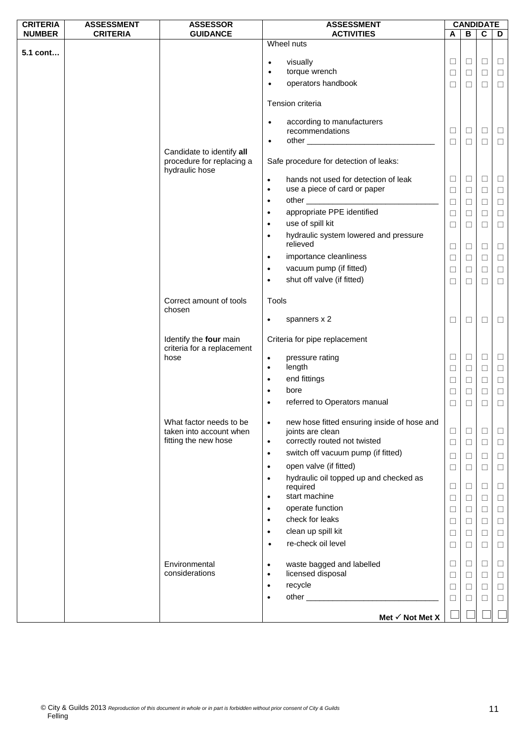| <b>CRITERIA</b> | <b>ASSESSMENT</b> | <b>ASSESSOR</b>                   |           | <b>ASSESSMENT</b>                           |        |        | <b>CANDIDATE</b> |        |
|-----------------|-------------------|-----------------------------------|-----------|---------------------------------------------|--------|--------|------------------|--------|
| <b>NUMBER</b>   | <b>CRITERIA</b>   | <b>GUIDANCE</b>                   |           | <b>ACTIVITIES</b>                           | A      | В      | $\mathbf c$      | D      |
|                 |                   |                                   |           | Wheel nuts                                  |        |        |                  |        |
| 5.1 cont        |                   |                                   | $\bullet$ | visually                                    | $\Box$ | $\Box$ | $\Box$           | $\Box$ |
|                 |                   |                                   | $\bullet$ | torque wrench                               | $\Box$ | $\Box$ | $\Box$           | $\Box$ |
|                 |                   |                                   | $\bullet$ | operators handbook                          |        |        | $\Box$           |        |
|                 |                   |                                   |           |                                             | $\Box$ | $\Box$ |                  | $\Box$ |
|                 |                   |                                   |           | Tension criteria                            |        |        |                  |        |
|                 |                   |                                   | $\bullet$ | according to manufacturers                  |        |        |                  |        |
|                 |                   |                                   |           | recommendations                             | $\Box$ | $\Box$ | $\Box$           | $\Box$ |
|                 |                   |                                   | $\bullet$ |                                             | $\Box$ | $\Box$ | $\Box$           | $\Box$ |
|                 |                   | Candidate to identify all         |           |                                             |        |        |                  |        |
|                 |                   | procedure for replacing a         |           | Safe procedure for detection of leaks:      |        |        |                  |        |
|                 |                   | hydraulic hose                    |           |                                             |        |        |                  |        |
|                 |                   |                                   | $\bullet$ | hands not used for detection of leak        | $\Box$ | $\Box$ | $\Box$           | Ц      |
|                 |                   |                                   | $\bullet$ | use a piece of card or paper                | $\Box$ | $\Box$ | $\Box$           | $\Box$ |
|                 |                   |                                   | $\bullet$ |                                             | $\Box$ | $\Box$ | $\Box$           | $\Box$ |
|                 |                   |                                   | $\bullet$ | appropriate PPE identified                  | $\Box$ | $\Box$ | $\Box$           | $\Box$ |
|                 |                   |                                   | $\bullet$ | use of spill kit                            | $\Box$ | $\Box$ | $\Box$           | $\Box$ |
|                 |                   |                                   | $\bullet$ | hydraulic system lowered and pressure       |        |        |                  |        |
|                 |                   |                                   |           | relieved                                    | $\Box$ | $\Box$ | $\Box$           | $\Box$ |
|                 |                   |                                   | $\bullet$ | importance cleanliness                      | $\Box$ | $\Box$ | $\Box$           | $\Box$ |
|                 |                   |                                   | $\bullet$ | vacuum pump (if fitted)                     | $\Box$ | $\Box$ | $\Box$           | $\Box$ |
|                 |                   |                                   | $\bullet$ | shut off valve (if fitted)                  | □      | □      | $\Box$           | $\Box$ |
|                 |                   |                                   |           |                                             |        |        |                  |        |
|                 |                   | Correct amount of tools<br>chosen | Tools     |                                             |        |        |                  |        |
|                 |                   |                                   | $\bullet$ | spanners x 2                                | $\Box$ | $\Box$ | $\Box$           | ⊔      |
|                 |                   | Identify the four main            |           | Criteria for pipe replacement               |        |        |                  |        |
|                 |                   | criteria for a replacement        |           |                                             |        |        |                  |        |
|                 |                   | hose                              | $\bullet$ | pressure rating                             | $\Box$ | $\Box$ | $\Box$           | $\Box$ |
|                 |                   |                                   | $\bullet$ | length                                      | $\Box$ | $\Box$ | $\Box$           | $\Box$ |
|                 |                   |                                   | $\bullet$ | end fittings                                | $\Box$ | $\Box$ | $\Box$           | $\Box$ |
|                 |                   |                                   | $\bullet$ | bore                                        | □      | $\Box$ | $\Box$           | $\Box$ |
|                 |                   |                                   |           | referred to Operators manual                | $\Box$ | $\Box$ | $\Box$           | $\Box$ |
|                 |                   | What factor needs to be           | $\bullet$ | new hose fitted ensuring inside of hose and |        |        |                  |        |
|                 |                   | taken into account when           |           | joints are clean                            | $\Box$ | $\Box$ | $\Box$           | ⊔      |
|                 |                   | fitting the new hose              | $\bullet$ | correctly routed not twisted                | $\Box$ | $\Box$ | $\Box$           | $\Box$ |
|                 |                   |                                   | $\bullet$ | switch off vacuum pump (if fitted)          | □      | □      | $\Box$           | $\Box$ |
|                 |                   |                                   | $\bullet$ | open valve (if fitted)                      |        |        | $\Box$           |        |
|                 |                   |                                   |           | hydraulic oil topped up and checked as      | $\Box$ | □      |                  | □      |
|                 |                   |                                   | $\bullet$ | required                                    | □      | $\Box$ | $\Box$           | $\Box$ |
|                 |                   |                                   | $\bullet$ | start machine                               | Ш      | □      | $\Box$           | ⊔      |
|                 |                   |                                   | $\bullet$ | operate function                            | $\Box$ | □      | $\Box$           | $\Box$ |
|                 |                   |                                   | $\bullet$ | check for leaks                             |        |        |                  |        |
|                 |                   |                                   | $\bullet$ | clean up spill kit                          | □      | □      | □                | □      |
|                 |                   |                                   |           |                                             | □      | $\Box$ | $\Box$           | $\Box$ |
|                 |                   |                                   | $\bullet$ | re-check oil level                          | Ш      | $\Box$ | $\Box$           | ⊔      |
|                 |                   | Environmental                     | $\bullet$ | waste bagged and labelled                   | ⊔      | □      | □                | ⊔      |
|                 |                   | considerations                    | $\bullet$ | licensed disposal                           | $\Box$ | $\Box$ | $\Box$           | $\Box$ |
|                 |                   |                                   | $\bullet$ | recycle                                     | □      | □      | $\Box$           | $\Box$ |
|                 |                   |                                   | ٠         |                                             | □      | ⊔      | □                | □      |
|                 |                   |                                   |           |                                             |        |        |                  |        |
|                 |                   |                                   |           | Met $\checkmark$ Not Met X                  |        |        |                  |        |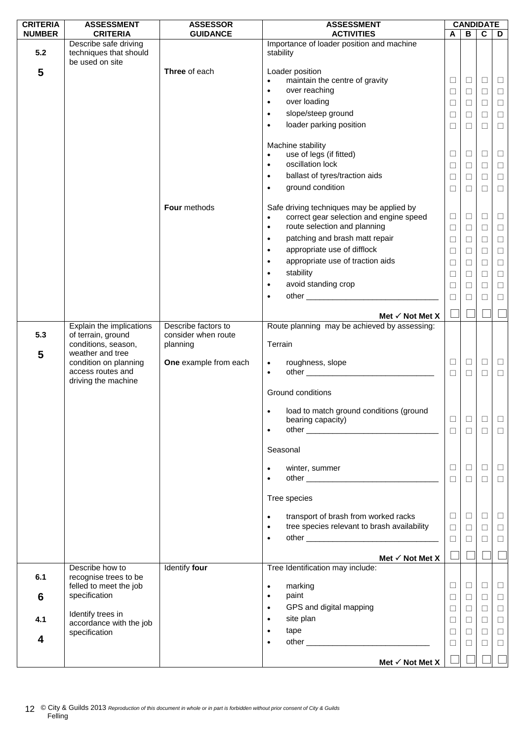| <b>CRITERIA</b> | <b>ASSESSMENT</b>                                                  | <b>ASSESSOR</b>       | <b>ASSESSMENT</b>                                                                                                                                                                                                                          |        |        | <b>CANDIDATE</b> |        |
|-----------------|--------------------------------------------------------------------|-----------------------|--------------------------------------------------------------------------------------------------------------------------------------------------------------------------------------------------------------------------------------------|--------|--------|------------------|--------|
| <b>NUMBER</b>   | <b>CRITERIA</b>                                                    | <b>GUIDANCE</b>       | <b>ACTIVITIES</b>                                                                                                                                                                                                                          | A      | B      | $\mathbf c$      | D      |
| 5.2             | Describe safe driving<br>techniques that should<br>be used on site |                       | Importance of loader position and machine<br>stability                                                                                                                                                                                     |        |        |                  |        |
| 5               |                                                                    | Three of each         | Loader position                                                                                                                                                                                                                            |        |        |                  |        |
|                 |                                                                    |                       | maintain the centre of gravity<br>$\bullet$                                                                                                                                                                                                | □      | ⊔      | $\Box$           | ш      |
|                 |                                                                    |                       | over reaching<br>$\bullet$                                                                                                                                                                                                                 | $\Box$ | $\Box$ | $\Box$           | $\Box$ |
|                 |                                                                    |                       | over loading<br>$\bullet$                                                                                                                                                                                                                  | $\Box$ | $\Box$ | $\Box$           | $\Box$ |
|                 |                                                                    |                       | slope/steep ground<br>$\bullet$                                                                                                                                                                                                            | □      | Ц      | $\Box$           | $\Box$ |
|                 |                                                                    |                       | loader parking position<br>$\bullet$                                                                                                                                                                                                       | $\Box$ | $\Box$ | $\Box$           | $\Box$ |
|                 |                                                                    |                       |                                                                                                                                                                                                                                            |        |        |                  |        |
|                 |                                                                    |                       | Machine stability                                                                                                                                                                                                                          |        |        |                  |        |
|                 |                                                                    |                       | use of legs (if fitted)<br>$\bullet$                                                                                                                                                                                                       | $\Box$ | Ц      | $\Box$           | $\Box$ |
|                 |                                                                    |                       | oscillation lock<br>$\bullet$                                                                                                                                                                                                              | $\Box$ | $\Box$ | $\Box$           | $\Box$ |
|                 |                                                                    |                       | ballast of tyres/traction aids<br>$\bullet$                                                                                                                                                                                                | $\Box$ | $\Box$ | $\Box$           | $\Box$ |
|                 |                                                                    |                       | ground condition<br>$\bullet$                                                                                                                                                                                                              | □      | □      | $\Box$           | $\Box$ |
|                 |                                                                    |                       |                                                                                                                                                                                                                                            |        |        |                  |        |
|                 |                                                                    | Four methods          | Safe driving techniques may be applied by                                                                                                                                                                                                  | □      | $\Box$ | $\Box$           |        |
|                 |                                                                    |                       | correct gear selection and engine speed<br>$\bullet$<br>route selection and planning<br>$\bullet$                                                                                                                                          |        |        |                  | $\Box$ |
|                 |                                                                    |                       | patching and brash matt repair                                                                                                                                                                                                             | $\Box$ | $\Box$ | $\Box$           | $\Box$ |
|                 |                                                                    |                       | $\bullet$<br>appropriate use of difflock                                                                                                                                                                                                   | $\Box$ | $\Box$ | $\Box$           | $\Box$ |
|                 |                                                                    |                       | $\bullet$                                                                                                                                                                                                                                  | $\Box$ | $\Box$ | $\Box$           | $\Box$ |
|                 |                                                                    |                       | appropriate use of traction aids<br>$\bullet$                                                                                                                                                                                              | $\Box$ | $\Box$ | $\Box$           | $\Box$ |
|                 |                                                                    |                       | stability<br>$\bullet$                                                                                                                                                                                                                     | $\Box$ | □      | $\Box$           | $\Box$ |
|                 |                                                                    |                       | avoid standing crop<br>$\bullet$                                                                                                                                                                                                           | $\Box$ | ⊔      | $\Box$           | $\Box$ |
|                 |                                                                    |                       | $\bullet$                                                                                                                                                                                                                                  | □      | $\Box$ | $\Box$           | $\Box$ |
|                 |                                                                    |                       | Met √ Not Met X                                                                                                                                                                                                                            |        |        |                  |        |
|                 | Explain the implications                                           | Describe factors to   | Route planning may be achieved by assessing:                                                                                                                                                                                               |        |        |                  |        |
| 5.3             | of terrain, ground                                                 | consider when route   |                                                                                                                                                                                                                                            |        |        |                  |        |
|                 | conditions, season,                                                | planning              | Terrain                                                                                                                                                                                                                                    |        |        |                  |        |
| 5               | weather and tree<br>condition on planning                          | One example from each | roughness, slope<br>$\bullet$                                                                                                                                                                                                              | □      | $\Box$ | $\Box$           | $\Box$ |
|                 | access routes and                                                  |                       | other and the contract of the contract of the contract of the contract of the contract of the contract of the contract of the contract of the contract of the contract of the contract of the contract of the contract of the<br>$\bullet$ | $\Box$ | $\Box$ | $\Box$           | $\Box$ |
|                 | driving the machine                                                |                       |                                                                                                                                                                                                                                            |        |        |                  |        |
|                 |                                                                    |                       | Ground conditions                                                                                                                                                                                                                          |        |        |                  |        |
|                 |                                                                    |                       |                                                                                                                                                                                                                                            |        |        |                  |        |
|                 |                                                                    |                       | load to match ground conditions (ground<br>$\bullet$                                                                                                                                                                                       |        |        |                  |        |
|                 |                                                                    |                       | bearing capacity)<br>$\bullet$                                                                                                                                                                                                             | $\Box$ | $\Box$ | $\Box$           | $\Box$ |
|                 |                                                                    |                       |                                                                                                                                                                                                                                            | $\Box$ | $\Box$ | $\Box$           | $\Box$ |
|                 |                                                                    |                       | Seasonal                                                                                                                                                                                                                                   |        |        |                  |        |
|                 |                                                                    |                       |                                                                                                                                                                                                                                            |        |        |                  |        |
|                 |                                                                    |                       | winter, summer<br>$\bullet$                                                                                                                                                                                                                | Ш      | ⊔      | □                | $\Box$ |
|                 |                                                                    |                       |                                                                                                                                                                                                                                            | $\Box$ | $\Box$ | $\Box$           | $\Box$ |
|                 |                                                                    |                       | Tree species                                                                                                                                                                                                                               |        |        |                  |        |
|                 |                                                                    |                       |                                                                                                                                                                                                                                            |        |        |                  |        |
|                 |                                                                    |                       | transport of brash from worked racks<br>$\bullet$                                                                                                                                                                                          | □      | $\Box$ | $\Box$           | $\Box$ |
|                 |                                                                    |                       | tree species relevant to brash availability<br>$\bullet$                                                                                                                                                                                   | $\Box$ | $\Box$ | $\Box$           | $\Box$ |
|                 |                                                                    |                       | $\bullet$                                                                                                                                                                                                                                  | $\Box$ | ⊔      | $\Box$           | $\Box$ |
|                 |                                                                    |                       |                                                                                                                                                                                                                                            |        |        |                  |        |
|                 | Describe how to                                                    | Identify four         | Met $\checkmark$ Not Met X<br>Tree Identification may include:                                                                                                                                                                             |        |        |                  |        |
| 6.1             | recognise trees to be                                              |                       |                                                                                                                                                                                                                                            |        |        |                  |        |
|                 | felled to meet the job                                             |                       | marking<br>$\bullet$                                                                                                                                                                                                                       | $\Box$ | $\Box$ | $\Box$           | $\Box$ |
| 6               | specification                                                      |                       | paint<br>$\bullet$                                                                                                                                                                                                                         | $\Box$ | ⊔      | $\Box$           | $\Box$ |
|                 |                                                                    |                       | GPS and digital mapping<br>$\bullet$                                                                                                                                                                                                       | $\Box$ | $\Box$ | $\Box$           | $\Box$ |
| 4.1             | Identify trees in<br>accordance with the job                       |                       | site plan<br>$\bullet$                                                                                                                                                                                                                     | □      | ⊔      | □                | $\Box$ |
|                 | specification                                                      |                       | tape                                                                                                                                                                                                                                       | $\Box$ | $\Box$ | $\Box$           | $\Box$ |
| 4               |                                                                    |                       |                                                                                                                                                                                                                                            | $\Box$ | $\Box$ | $\Box$           | $\Box$ |
|                 |                                                                    |                       |                                                                                                                                                                                                                                            |        |        |                  |        |
|                 |                                                                    |                       | Met $\checkmark$ Not Met X                                                                                                                                                                                                                 |        |        |                  |        |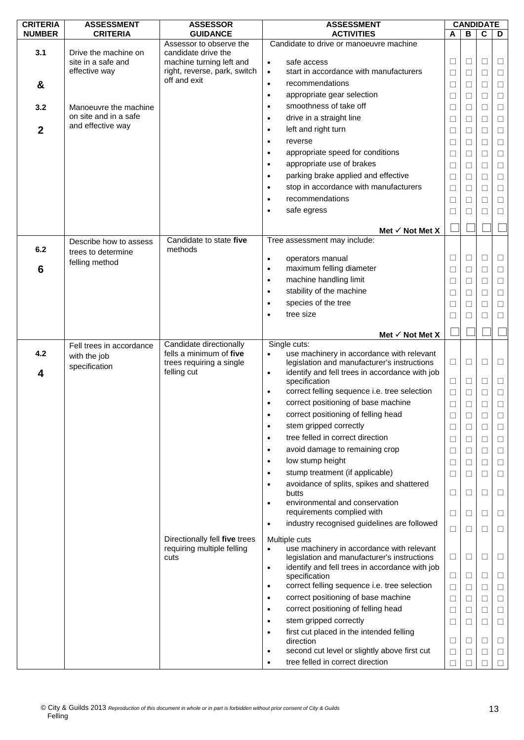| <b>CRITERIA</b> | <b>ASSESSMENT</b>                          | <b>ASSESSOR</b>                                             | <b>ASSESSMENT</b>                                                                                     |        | <b>CANDIDATE</b> |             |        |
|-----------------|--------------------------------------------|-------------------------------------------------------------|-------------------------------------------------------------------------------------------------------|--------|------------------|-------------|--------|
| <b>NUMBER</b>   | <b>CRITERIA</b>                            | <b>GUIDANCE</b>                                             | <b>ACTIVITIES</b>                                                                                     | A      | В                | $\mathbf c$ | D      |
|                 |                                            | Assessor to observe the                                     | Candidate to drive or manoeuvre machine                                                               |        |                  |             |        |
| 3.1             | Drive the machine on<br>site in a safe and | candidate drive the<br>machine turning left and             | safe access<br>$\bullet$                                                                              | Ш      | ⊔                | ⊔           | $\Box$ |
|                 | effective way                              | right, reverse, park, switch                                | start in accordance with manufacturers<br>$\bullet$                                                   | $\Box$ | □                | □           | $\Box$ |
| &               |                                            | off and exit                                                | recommendations<br>$\bullet$                                                                          | $\Box$ | П                | $\Box$      | $\Box$ |
|                 |                                            |                                                             | appropriate gear selection<br>$\bullet$                                                               | $\Box$ | ⊔                | □           | $\Box$ |
| 3.2             | Manoeuvre the machine                      |                                                             | smoothness of take off<br>$\bullet$                                                                   | □      | $\Box$           | $\Box$      | $\Box$ |
|                 | on site and in a safe                      |                                                             | drive in a straight line<br>$\bullet$                                                                 |        | П                | П           | $\Box$ |
| $\mathbf{2}$    | and effective way                          |                                                             | left and right turn<br>٠                                                                              | ⊔      |                  | □           |        |
|                 |                                            |                                                             | reverse<br>٠                                                                                          | $\Box$ | □                |             | $\Box$ |
|                 |                                            |                                                             | appropriate speed for conditions                                                                      | $\Box$ | □                | □           | $\Box$ |
|                 |                                            |                                                             | $\bullet$<br>appropriate use of brakes                                                                | □      | $\Box$           | □           | $\Box$ |
|                 |                                            |                                                             | $\bullet$                                                                                             | □      | □                | $\Box$      | $\Box$ |
|                 |                                            |                                                             | parking brake applied and effective<br>$\bullet$                                                      | □      | П                | $\Box$      | $\Box$ |
|                 |                                            |                                                             | stop in accordance with manufacturers<br>$\bullet$                                                    | $\Box$ | □                | $\Box$      | $\Box$ |
|                 |                                            |                                                             | recommendations<br>$\bullet$                                                                          | $\Box$ | $\mathbf{L}$     | □           | $\Box$ |
|                 |                                            |                                                             | safe egress<br>٠                                                                                      | Ш      |                  | □           | □      |
|                 |                                            |                                                             | Met $\checkmark$ Not Met X                                                                            |        |                  |             |        |
|                 | Describe how to assess                     | Candidate to state five                                     | Tree assessment may include:                                                                          |        |                  |             |        |
| 6.2             | trees to determine                         | methods                                                     |                                                                                                       |        |                  |             |        |
|                 | felling method                             |                                                             | operators manual<br>$\bullet$                                                                         | $\Box$ | □                | $\Box$      | $\Box$ |
| 6               |                                            |                                                             | maximum felling diameter<br>$\bullet$                                                                 | □      | $\Box$           | $\Box$      | $\Box$ |
|                 |                                            |                                                             | machine handling limit<br>$\bullet$                                                                   | □      | □                | $\Box$      | $\Box$ |
|                 |                                            |                                                             | stability of the machine<br>$\bullet$                                                                 | □      | П                | $\Box$      | $\Box$ |
|                 |                                            |                                                             | species of the tree<br>٠                                                                              | Ш      |                  | □           | $\Box$ |
|                 |                                            |                                                             | tree size<br>٠                                                                                        | □      | П                | □           | $\Box$ |
|                 |                                            |                                                             |                                                                                                       |        |                  |             |        |
|                 |                                            |                                                             | Met $\checkmark$ Not Met X                                                                            |        |                  |             |        |
| 4.2             | Fell trees in accordance                   | Candidate directionally<br>fells a minimum of five          | Single cuts:<br>use machinery in accordance with relevant<br>$\bullet$                                |        |                  |             |        |
|                 | with the job<br>specification              | trees requiring a single                                    | legislation and manufacturer's instructions                                                           | □      | $\Box$           | ⊔           | $\Box$ |
| 4               |                                            | felling cut                                                 | identify and fell trees in accordance with job<br>$\bullet$                                           |        |                  |             |        |
|                 |                                            |                                                             | specification                                                                                         | $\Box$ | □                | $\Box$      | $\Box$ |
|                 |                                            |                                                             | correct felling sequence i.e. tree selection<br>$\bullet$                                             | $\Box$ | □                | $\Box$      | $\Box$ |
|                 |                                            |                                                             | correct positioning of base machine<br>$\bullet$                                                      | □      | $\mathbf{1}$     | □           | □      |
|                 |                                            |                                                             | correct positioning of felling head                                                                   |        |                  |             |        |
|                 |                                            |                                                             | stem gripped correctly<br>$\bullet$                                                                   | □      | П                | П           | П      |
|                 |                                            |                                                             | tree felled in correct direction<br>$\bullet$                                                         | $\Box$ | $\Box$           | $\Box$      | $\Box$ |
|                 |                                            |                                                             | avoid damage to remaining crop<br>$\bullet$                                                           | $\Box$ | □                | $\Box$      | $\Box$ |
|                 |                                            |                                                             | low stump height<br>$\bullet$                                                                         | □      | □                | □           | $\Box$ |
|                 |                                            |                                                             | stump treatment (if applicable)<br>$\bullet$                                                          | □      | □                | $\Box$      | $\Box$ |
|                 |                                            |                                                             | avoidance of splits, spikes and shattered<br>$\bullet$                                                |        |                  |             |        |
|                 |                                            |                                                             | butts<br>environmental and conservation<br>$\bullet$                                                  | □      | □                | $\Box$      | $\Box$ |
|                 |                                            |                                                             | requirements complied with                                                                            | □      | $\Box$           | $\Box$      | $\Box$ |
|                 |                                            |                                                             | industry recognised guidelines are followed<br>$\bullet$                                              |        |                  |             |        |
|                 |                                            |                                                             |                                                                                                       | □      | $\Box$           | $\Box$      | $\Box$ |
|                 |                                            | Directionally fell five trees<br>requiring multiple felling | Multiple cuts                                                                                         |        |                  |             |        |
|                 |                                            | cuts                                                        | use machinery in accordance with relevant<br>$\bullet$<br>legislation and manufacturer's instructions | $\Box$ | ⊔                | □           | $\Box$ |
|                 |                                            |                                                             | identify and fell trees in accordance with job<br>$\bullet$                                           |        |                  |             |        |
|                 |                                            |                                                             | specification                                                                                         | □      | Ш                | □           | Ш      |
|                 |                                            |                                                             | correct felling sequence i.e. tree selection<br>$\bullet$                                             | $\Box$ | $\Box$           | $\Box$      | $\Box$ |
|                 |                                            |                                                             | correct positioning of base machine<br>$\bullet$                                                      | □      | □                | □           | $\Box$ |
|                 |                                            |                                                             | correct positioning of felling head<br>$\bullet$                                                      | $\Box$ | □                | $\Box$      | $\Box$ |
|                 |                                            |                                                             | stem gripped correctly<br>$\bullet$                                                                   | $\Box$ | □                | $\Box$      | $\Box$ |
|                 |                                            |                                                             | first cut placed in the intended felling<br>$\bullet$                                                 |        |                  |             |        |
|                 |                                            |                                                             | direction                                                                                             | □      | □                | □           | $\Box$ |
|                 |                                            |                                                             | second cut level or slightly above first cut<br>٠                                                     | □      | $\mathbf{L}$     | □           | $\Box$ |
|                 |                                            |                                                             | tree felled in correct direction                                                                      | $\Box$ |                  | П           | $\Box$ |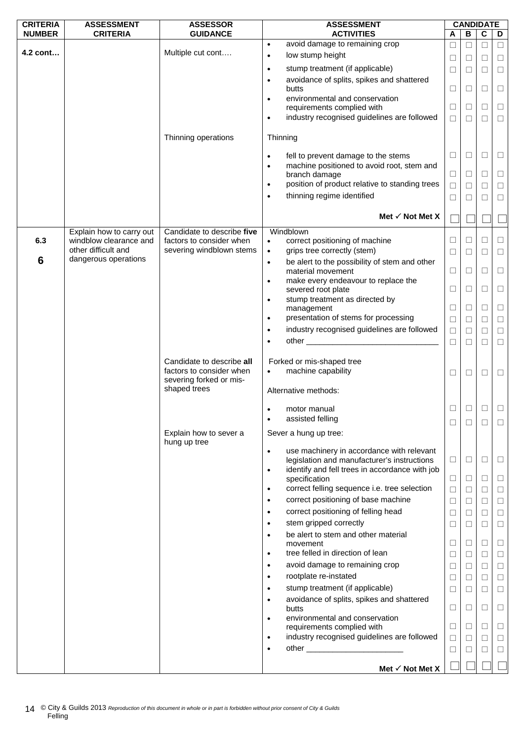| <b>CRITERIA</b> | <b>ASSESSMENT</b>        | <b>ASSESSOR</b>                        | <b>ASSESSMENT</b>                                                                                                                                                                                                                                 |        |              | <b>CANDIDATE</b> |        |
|-----------------|--------------------------|----------------------------------------|---------------------------------------------------------------------------------------------------------------------------------------------------------------------------------------------------------------------------------------------------|--------|--------------|------------------|--------|
| <b>NUMBER</b>   | <b>CRITERIA</b>          | <b>GUIDANCE</b>                        | <b>ACTIVITIES</b>                                                                                                                                                                                                                                 | A      | B            | C                | D      |
|                 |                          |                                        | avoid damage to remaining crop<br>$\bullet$                                                                                                                                                                                                       | $\Box$ | П            | □                | $\Box$ |
| 4.2 cont        |                          | Multiple cut cont                      | low stump height<br>$\bullet$                                                                                                                                                                                                                     | $\Box$ | Ш            | $\Box$           | $\Box$ |
|                 |                          |                                        | stump treatment (if applicable)<br>$\bullet$                                                                                                                                                                                                      | $\Box$ | □            | $\Box$           | $\Box$ |
|                 |                          |                                        | avoidance of splits, spikes and shattered<br>$\bullet$                                                                                                                                                                                            |        |              |                  |        |
|                 |                          |                                        | butts                                                                                                                                                                                                                                             | $\Box$ | □            | $\Box$           | $\Box$ |
|                 |                          |                                        | environmental and conservation<br>$\bullet$<br>requirements complied with                                                                                                                                                                         | □      | ⊔            | $\Box$           | $\Box$ |
|                 |                          |                                        | industry recognised guidelines are followed<br>$\bullet$                                                                                                                                                                                          | $\Box$ | $\Box$       | $\Box$           | $\Box$ |
|                 |                          |                                        |                                                                                                                                                                                                                                                   |        |              |                  |        |
|                 |                          | Thinning operations                    | Thinning                                                                                                                                                                                                                                          |        |              |                  |        |
|                 |                          |                                        | fell to prevent damage to the stems<br>$\bullet$                                                                                                                                                                                                  | □      | ⊔            | □                | ⊔      |
|                 |                          |                                        | machine positioned to avoid root, stem and<br>$\bullet$                                                                                                                                                                                           |        |              |                  |        |
|                 |                          |                                        | branch damage                                                                                                                                                                                                                                     | $\Box$ | Ш            | □                | $\Box$ |
|                 |                          |                                        | position of product relative to standing trees<br>$\bullet$                                                                                                                                                                                       | $\Box$ | □            | $\Box$           | $\Box$ |
|                 |                          |                                        | thinning regime identified<br>$\bullet$                                                                                                                                                                                                           | □      | $\Box$       | П                | ⊔      |
|                 |                          |                                        | Met $\checkmark$ Not Met X                                                                                                                                                                                                                        |        |              |                  |        |
|                 | Explain how to carry out | Candidate to describe five             | Windblown                                                                                                                                                                                                                                         |        |              |                  |        |
| 6.3             | windblow clearance and   | factors to consider when               | correct positioning of machine<br>$\bullet$                                                                                                                                                                                                       | $\Box$ | □            | $\Box$           | $\Box$ |
|                 | other difficult and      | severing windblown stems               | grips tree correctly (stem)<br>$\bullet$                                                                                                                                                                                                          | □      | □            | $\Box$           | $\Box$ |
| 6               | dangerous operations     |                                        | be alert to the possibility of stem and other<br>$\bullet$                                                                                                                                                                                        |        |              |                  |        |
|                 |                          |                                        | material movement                                                                                                                                                                                                                                 | $\Box$ | $\mathbf{1}$ | □                | ⊔      |
|                 |                          |                                        | make every endeavour to replace the<br>$\bullet$<br>severed root plate                                                                                                                                                                            | ⊔      | ⊔            | □                | ⊔      |
|                 |                          |                                        | stump treatment as directed by<br>$\bullet$                                                                                                                                                                                                       |        |              |                  |        |
|                 |                          |                                        | management                                                                                                                                                                                                                                        | □      | ⊔            | □                | Ц      |
|                 |                          |                                        | presentation of stems for processing<br>$\bullet$                                                                                                                                                                                                 | $\Box$ | $\Box$       | $\Box$           | $\Box$ |
|                 |                          |                                        | industry recognised guidelines are followed<br>$\bullet$                                                                                                                                                                                          | $\Box$ | $\Box$       | $\Box$           | $\Box$ |
|                 |                          |                                        | other <u>the contract of the contract of the contract of the contract of the contract of the contract of the contract of the contract of the contract of the contract of the contract of the contract of the contract of the con</u><br>$\bullet$ | □      | П            | □                | $\Box$ |
|                 |                          | Candidate to describe all              | Forked or mis-shaped tree                                                                                                                                                                                                                         |        |              |                  |        |
|                 |                          | factors to consider when               | machine capability<br>$\bullet$                                                                                                                                                                                                                   | □      | □            | $\Box$           | □      |
|                 |                          | severing forked or mis-                |                                                                                                                                                                                                                                                   |        |              |                  |        |
|                 |                          | shaped trees                           | Alternative methods:                                                                                                                                                                                                                              |        |              |                  |        |
|                 |                          |                                        | motor manual<br>$\bullet$                                                                                                                                                                                                                         | □      |              | □                | $\Box$ |
|                 |                          |                                        | assisted felling<br>$\bullet$                                                                                                                                                                                                                     | ⊔      |              |                  | ⊔      |
|                 |                          | Explain how to sever a<br>hung up tree | Sever a hung up tree:                                                                                                                                                                                                                             |        |              |                  |        |
|                 |                          |                                        | use machinery in accordance with relevant<br>$\bullet$                                                                                                                                                                                            | $\Box$ |              |                  |        |
|                 |                          |                                        | legislation and manufacturer's instructions<br>identify and fell trees in accordance with job<br>$\bullet$                                                                                                                                        |        | □            | $\Box$           | $\Box$ |
|                 |                          |                                        | specification                                                                                                                                                                                                                                     | $\Box$ | □            | □                | ⊔      |
|                 |                          |                                        | correct felling sequence i.e. tree selection<br>$\bullet$                                                                                                                                                                                         | $\Box$ | ⊔            | □                | □      |
|                 |                          |                                        | correct positioning of base machine<br>$\bullet$                                                                                                                                                                                                  | $\Box$ | □            | □                | $\Box$ |
|                 |                          |                                        | correct positioning of felling head<br>$\bullet$                                                                                                                                                                                                  | □      | □            | $\Box$           | $\Box$ |
|                 |                          |                                        | stem gripped correctly<br>$\bullet$                                                                                                                                                                                                               | □      | ⊔            | □                | $\Box$ |
|                 |                          |                                        | be alert to stem and other material<br>$\bullet$                                                                                                                                                                                                  |        |              |                  |        |
|                 |                          |                                        | movement                                                                                                                                                                                                                                          | $\Box$ | □            | $\Box$           | $\Box$ |
|                 |                          |                                        | tree felled in direction of lean<br>$\bullet$                                                                                                                                                                                                     | □      | □            | $\Box$           | $\Box$ |
|                 |                          |                                        | avoid damage to remaining crop<br>$\bullet$                                                                                                                                                                                                       | □      | ⊔            | □                | ⊔      |
|                 |                          |                                        | rootplate re-instated<br>$\bullet$                                                                                                                                                                                                                | $\Box$ | □            | $\Box$           | $\Box$ |
|                 |                          |                                        | stump treatment (if applicable)<br>$\bullet$                                                                                                                                                                                                      | $\Box$ | □            | $\Box$           | $\Box$ |
|                 |                          |                                        | avoidance of splits, spikes and shattered<br>$\bullet$<br>butts                                                                                                                                                                                   | $\Box$ | ⊔            | □                | ⊔      |
|                 |                          |                                        | environmental and conservation<br>$\bullet$<br>requirements complied with                                                                                                                                                                         | □      | ⊔            | □                | ⊔      |
|                 |                          |                                        | industry recognised guidelines are followed<br>$\bullet$                                                                                                                                                                                          | $\Box$ | □            | $\Box$           | $\Box$ |
|                 |                          |                                        | $\bullet$                                                                                                                                                                                                                                         | $\Box$ | □            | $\Box$           | $\Box$ |
|                 |                          |                                        |                                                                                                                                                                                                                                                   |        |              |                  |        |
|                 |                          |                                        | Met √ Not Met X                                                                                                                                                                                                                                   |        |              |                  |        |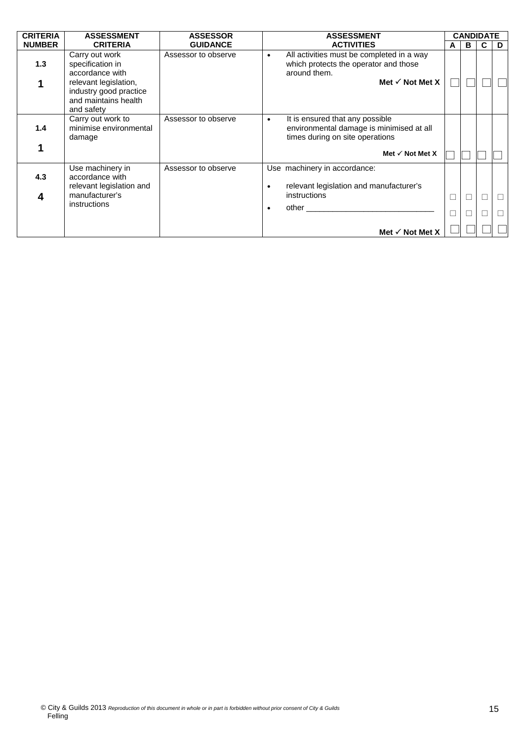| <b>CRITERIA</b> | <b>ASSESSMENT</b>                                                                                                                              | <b>ASSESSOR</b>     | <b>ASSESSMENT</b>                                                                                                                                         |                  | <b>CANDIDATE</b> |   |        |
|-----------------|------------------------------------------------------------------------------------------------------------------------------------------------|---------------------|-----------------------------------------------------------------------------------------------------------------------------------------------------------|------------------|------------------|---|--------|
| <b>NUMBER</b>   | <b>CRITERIA</b>                                                                                                                                | <b>GUIDANCE</b>     | <b>ACTIVITIES</b>                                                                                                                                         | A                | B                | C | D      |
| 1.3             | Carry out work<br>specification in<br>accordance with<br>relevant legislation,<br>industry good practice<br>and maintains health<br>and safety | Assessor to observe | All activities must be completed in a way<br>$\bullet$<br>which protects the operator and those<br>around them.<br>Met $\checkmark$ Not Met X             |                  |                  |   |        |
| 1.4             | Carry out work to<br>minimise environmental<br>damage                                                                                          | Assessor to observe | It is ensured that any possible<br>$\bullet$<br>environmental damage is minimised at all<br>times during on site operations<br>Met $\checkmark$ Not Met X |                  |                  |   |        |
| 4.3<br>4        | Use machinery in<br>accordance with<br>relevant legislation and<br>manufacturer's<br>instructions                                              | Assessor to observe | Use machinery in accordance:<br>relevant legislation and manufacturer's<br>٠<br>instructions<br>other                                                     | $\Box$<br>$\Box$ |                  |   | П<br>П |
|                 |                                                                                                                                                |                     | Met $\checkmark$ Not Met X                                                                                                                                |                  |                  |   |        |